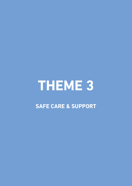# **THEME 3**

# **SAFE CARE & SuPPORT**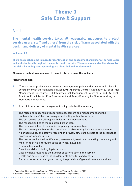# **Theme 3 Safe Care & Support**

# **Aim 1**

**The mental health service takes all reasonable measures to protect service users, staff and others1 from the risk of harm associated with the design and delivery of mental health services2.** 

**Indicator 1.1**

**There are mechanisms in place for identification and assessment of risk for all service users and stakeholders throughout the mental health service. The measures and actions to control the risks, including safety planning are identified and implemented.** 

# **These are the features you need to have in place to meet the indicator.**

# **Risk Management**

- **1.** There is a comprehensive written risk management policy and procedures in place, in accordance with the Mental Health Act 2001 (Approved Centres) Regulation 32 2006, Risk Management Procedures, HSE Integrated Risk Management Policy, 2017 and HSE Best Practices Principles for Risk Assessment and Safety Planning for Nurses working in Mental Health Services.
- **2.** At a minimum the risk management policy includes the following:
	- The roles and responsibilities for risk assessment and management and the implementation of the risk management policy within the service.
	- The person with overall responsibility for risk management.
	- The responsibilities of the registered proprietor.
	- The responsibilities of the multi-disciplinary team members.
	- The person responsible for the completion of six-monthly incident summary reports. A defined quality and safety oversight and review structure as part of the governance process for managing risk.
	- The processes for the identification, assessment, treatment, reporting, reviewing and monitoring of risks throughout the services, including:
	- Organisational risks.
	- Structural risks, including ligature points.
	- Capacity risks relating to the number of service user in the service.
	- Health and safety risks to the residents, staff, visitors and others.
	- Risks to the service user group during the provision of general care and services.

*<sup>1.</sup> Regulation 11 of the Mental Health Act 2001 (Approved Centres) Regulations 2006*

*<sup>2.</sup> Safety Health and Welfare at Work Act, 2005 (and associated Regulations)***\*\*\*\*\*\*\*\*\*\*\*\*\*\*\***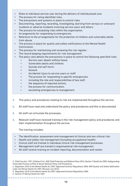- Risks to individual service user during the delivery of individualised care.
- The process for rating identified risks.
- The precautions and systems in place to control risks.
- Documenting, reporting, recording, investigating, learning from serious or untoward incidents or adverse incidents involving service users and others.
- The process for escalating risks within the organisation.
- Arrangements for responding to emergencies.
- Reference to the arrangements for the protection of children and vulnerable adults from abuse.
- The process in place for quality and safety notifications to the Mental Health Commission.
- The process for maintaining and reviewing the risk register .
- The record keeping requirements for risk management
- The policy also details the precautions in place to control the following specified risks:
	- Service user absent without leave.
	- Vulnerable adults and children.
	- Suicide and self-harm.
	- Assault.
	- Accidental injury to service users or staff.
	- The process for responding to specific emergencies:
	- including the role and responsibilities of key staff,
	- the sequence of required actions,
	- the process for communication,
	- escalating emergencies to management.
- **3.** This policy and procedures relating to risk are implemented throughout the service.
- **4.** All staff have read and understand the policy and procedures and this is documented.
- **5.** All staff can articulate the processes.
- **6.** Relevant staff have received training in the risk management policy and procedures and their implementation throughout the service.

The training includes:

- The identification, assessment and management of clinical and non-clinical risk.
- Health and safety risk management (including occupational health).
- Clinical staff are trained in individual clinical risk management processes.
- Management staff are trained in organisational risk management.
- All staff receive training on incident reporting, documentation and review.

**\*\*\*\*\*\*\*\*\*\*\*\*\*\*\*\*\*** 

*<sup>3.</sup> Child Care Act, 1991; Children First ; HSE Child Protection and Welfare Policy 2016; Section 7 Health Act 2004; Safeguarding Vulnerable Persons at Risk of Abuse National Policy and Procedures;* 

*<sup>4.</sup> Regulation 32(3) of the Mental Health Act 2001 (Approved Centres) Regulations 2006; MHC Quality and Safety Notification under the Mental Health Act 2001 (Revised July 2016)*

*<sup>5.</sup> Regulation 32(3) of the Mental Health Act 2001 (Approved Centres) Regulations 2006*

*<sup>6.</sup> Section 27 Mental Health Act 2001*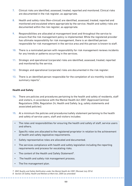- **7.** Clinical risks are identified, assessed, treated, reported and monitored. Clinical risks are documented in the risk register, as appropriate.
- **8.** Health and safety risks (Non-clinical) are identified, assessed, treated, reported and monitored and escalated where appropriate by the service. Health and safety risks are documented within the risk register, as appropriate.
- **9.** Responsibilities are allocated at management level and throughout the service to ensure that the risk management policy is implemented. While the registered provider has ultimate responsibility for risk management, there is an identified person responsible for risk management in the service area and this person is known to staff.
- **10.** There is a nominated person with responsibility for risk management reviews incidents for any trends or patterns occurring in the services.
- **11.** Strategic and operational (corporate) risks are identified, assessed, treated, reported and monitored by the service.
- **12.** Strategic and operational (corporate) risks are documented in the risk register.
- **13.** There is an identified person responsible for the completion of six-monthly incident summary reports<sup>7</sup>.

#### **Health and Safety**

- **14.** There are policies and procedures pertaining to the health and safety of residents, staff and visitors, in accordance with the Mental Health Act 2001 (Approved Centres) Regulations 2006, Regulation 24, Health and Safety. (e.g, safety statements and associated policies).
- **15.** At a minimum the policies and procedures/safety statement pertaining to the health and safety of service users, staff and visitors includes:
	- The roles and responsibilities for ensuring the health and safety of staff, service users and others.
	- Specific roles are allocated to the registered proprietor in relation to the achievement of health and safety legislative requirements.
	- Safety representative roles are allocated and documented.
	- The services compliance with health and safety legislation including the reporting requirements and process for escalating risks.
	- The content of the Health and Safety Statement<sup>8</sup>.
	- The health and safety risk management process.

**\*\*\*\*\*\*\*\*\*\*\*\*\*\*\*\*\*\*\*** 

• The fire management plan.

*<sup>7.</sup> MHC Quality and Safety Notification under the Mental Health Act 2001 (Revised July 2016) 8. Section 20 Safety, Health and Welfare at Work Act, 2005 (as amended)*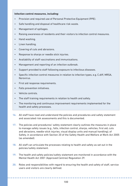#### **Infection control measures, including:**

- Provision and required use of Personal Protective Equipment (PPE).
- Safe handling and disposal of healthcare risk waste.
- Management of spillages.
- Raising awareness of residents and their visitors to infection control measures.
- Hand washing.
- Linen handling.
- Covering of cuts and abrasions.
- Response to sharps or needle stick injuries.
- Availability of staff vaccinations and immunisations.
- Management and reporting of an infection outbreak.
- Support provided to staff following exposure to infectious diseases.
- Specific infection control measures in relation to infection types, e.g. C.diff, MRSA, Norovirus.
- First aid response requirements.
- Falls prevention initiatives.
- Vehicle controls.
- The staff training requirements in relation to health and safety.
- The monitoring and continuous improvement requirements implemented for the health and safety processes.
- **16.** All staff have read and understand the policies and procedures and safety statement and associated risk assessments and this is documented.
- **17.** The policies and procedures/ safety statement clearly outlines the measures in place to manage safety issues (e.g., falls, infection control, sharps, vehicles, first aid, cuts and abrasions, needle-stick injuries, visual display units and manual handling), of Safety, in accordance with Section 20 of the Safety Health and Welfare at Work Act 2005 (as amended).
- **18.** All staff can articulate the processes relating to health and safety as set out in the policies/safety statement.
- **19.** The health and safety policies/safety statement are monitored in accordance with the Mental Health Act 2001 (Approved Centres) Regulation 29.
- **20.** Roles and responsibilities with regard to ensuring the health and safety of staff, service users and visitors are clearly defined.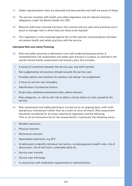- **21.** Safety representative roles are allocated and documented and staff are aware of these.
- **22.** The service complies with health and safety legislation and all relevant statutory obligations under the Mental Health Act 2001.
- **23.** Relevant staff have received training in the controls and any safe work practices are in place to manage risks in which they are likely to be exposed.
- **24.** This regulation is only assessed against the written policies and procedures and does not assess health and safety practices with the service.

## **Individual Risk and safety Planning:**

- **25.** Risk and safety planning is delivered in line with evidenced based practice. A comprehensive risk assessment and safety plan process is in place, as outlined in the overall mental health assessment and recovery plan, this includes:
	- A sense of connection between the service user and staff member.
	- Non-judgemental and positive attitude towards the service user.
	- Possible options and solutions for positive risk taking/ risk enablement.
	- A focus on service user strengths.
	- Identification of protective factors.
	- Empirically validated assessment tools, where relevant.
	- Risk categories, i.e. risk to self, risk to others, risk by others or risks caused by the service.
- **26.** Risk assessment and safety planning is carried out on an ongoing basis, with multidisciplinary involvement (rather than as a static or once-off event). Risk assessment should be considered for all areas required by legislation and the following: (This is not an exhaustive list of risk assessments), in particular the following areas;
	- Resident seclusion.
	- Physical restraint.
	- Mechanical restraint.
	- Specialised treatments, e.g. ECT.
	- At admission to identify individual risk factors, including general health risks, risk of absconsion, risk of self-harm, vulnerable adult etc.
	- Service user transfer.
	- Service user discharge
	- In conjunction with medication requirements or administration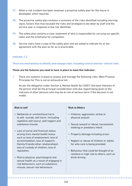- **27.** When a risk incident has been resolved, a proactive safety plan for the future is developed, when required.
- **28.** The proactive safety plan contains a summary of the risks identified including warning signs, factors that may escalate the risks and strategies to be taken by staff and the service user in response to the risk identified.
- **29.** The safety plan contains a clear statement of who is responsible for carrying out specific tasks and the timeframe for completion.
- **30.** Service users have a copy of the safety plan and are asked to indicate his or her agreement with the plan as far as is practicable.

# **Indicator 1.2**

**There are mechanisms to identify and manage risks, including clinical and non -clinical risks.**

# **These are the features you need to have in place to meet this indicator:**

**1.** There are systems in place to assess and manage the following risks. (Best Practice Principles for This is not an exhaustive list:

As per the obligation under Section 4, Mental Health Act (2001) (the best interests of the person shall be the principal consideration with due regard being given to the interests of other persons who may be at risk of serious harm if the decision is not made).

# **Risk to self**

- Deliberate or unintentional harm to self -suicide, self-harm (including repetitive self-injury), self-neglect and substance misuse.
- Loss of social and financial status arising from mental health status such as loss of employment, loss of accommodation, loss of supports (family/friends/other relationships); loss of custody of children, loss of reputation.
- Risk to physical, psychological and sexual health as a result of engaging in risk behaviours, such as substance misuse, sexual risk behaviours.

# **Risk to Others**

- Violence, aggression, verbal or physical assault.
- Sexual assault or abuse, harassment, stalking or predatory intent.
- Property damage including arson.
- Neglect or abuse of children or adults for who care is being provided.
- Behaviour that could be thought of as reckless or high risk to others, such as drink driving.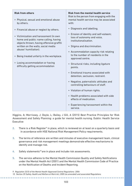| <b>Risk from others</b>                                                                                                      | <b>Risk from the mental health service</b><br>Risk to the person from engaging with the         |
|------------------------------------------------------------------------------------------------------------------------------|-------------------------------------------------------------------------------------------------|
| • Physical, sexual and emotional abuse<br>by others.                                                                         | mental health service may be associated<br>with:                                                |
| • Financial abuse or neglect by others.                                                                                      | • Diagnosis and labelling.                                                                      |
| • Victimization and harassment (in own<br>home and public: name calling, having<br>objects thrown, having offensive graffiti | • Erosion of identity and self-esteem;<br>loss of autonomy and voice,<br>institutionalisation.  |
| written on the walls, social media                                                                                           | • Stigma and discrimination.                                                                    |
| abuse/ humiliation).<br>Being treated unfairly in the workplace.<br>$\bullet$                                                | • Accommodation capacity risk relating<br>to the number of residents in the<br>approved centre. |
| Losing accommodation or having<br>$\bullet$<br>difficulty getting accommodation                                              | • Structural risks, including ligature<br>points.                                               |
|                                                                                                                              | • Emotional trauma associated with<br>detention, seclusion, restraint.                          |
|                                                                                                                              | • Negative, paternalistic attitudes and<br>controlling behaviours of staff.                     |
|                                                                                                                              | • Violation of human rights.                                                                    |
|                                                                                                                              | • Health problems associated with side<br>effects of medication.                                |
|                                                                                                                              | • Experiencing harassment within the<br>service.                                                |

Higgins, A; Morrissey, J; Doyle, L; Bailey, J Gill, A (2015) Best Practice Principles for Risk Assessment and Safety Planning: a guide for mental health nursing. Dublin: Health Service **Executive** 

- **2.** There is a Risk Register<sup>9</sup> in place, which is reviewed on at least on a quarterly basis and in accordance with HSE National Risk Management Policy requirements.
- **3.** The terms of reference are written and minutes of executive management team, clinical governance and risk management meetings demonstrate effective mechanisms to identify and manage risk.
- 4. Safety statements<sup>10</sup> are in place and include risk assessments.
- **5.** The service adheres to the Mental Health Commission Quality and Safety Notifications under the Mental Health Act (2001) and the Mental Health Commission Code of Practice on the Notification of Deaths and Incident Reporting.

*<sup>9.</sup> Regulation 32(3) of the Mental Health (Approved Centre) Regulations 2006 10. Section 20 Safety, Health and Welfare at Work Act, 2005 (as amended) and associated Regulations*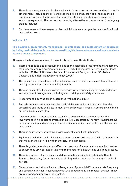- **6.** There is an emergency plan in place, which includes a process for responding to specific emergencies, including the role and responsibilities of key staff and the sequence if required actions and the process for communication and escalating emergencies to senior management. The process for securing alternative accommodation (contingency plan) is included.
- **7.** Staff are aware of the emergency plan, which includes emergencies, such as fire, flood, and cardiac arrest.

#### **Indicator 1.3**

**The selection, procurement, management, maintenance and replacement of equipment including medical devices, is in accordance with legislative requirements, national standards, national policy & guidelines.** 

#### **These are the features you need to have in place to meet this indicator:**

- **1.** There are policies and procedure in place on the selection, procurement, management, maintenance and replacement of equipment including medical devices, in accordance with the HSE Health Business Service - Procurement Policy and the HSE Medical Devices / Equipment Management Policy (2009)
- **2.** The policies and procedures on the selection, procurement, management, maintenance and replacement of equipment is implemented.
- **3.** There is an identified person within the service with responsibility for medical devices and equipment management, including staff training and safety assurance.
- **4.** Procurement is carried out in accordance with national policy.
- **5.** Records demonstrate that specialist medical devices and equipment are identified, prescribed and made available to meet the service users' needs, in accordance with his or her individual care plan.
- **6.** Documentation e.g. prescriptions, care plan, correspondence demonstrates the involvement of Allied Health Professionals (e.g. Occupational Therapy/Physiotherapy) in recommending and advising on the selection of medical devices to meet the service user needs.
- **7.** There is an inventory of medical devices available and kept up to date.

. . . . . . . . . . . . . . . . . .

- **8.** Equipment including medical devices maintenance records are available to demonstrate that maintenance is in line with manufacturer's standards.
- **9.** There is guidance available to staff on the operation of equipment and medical devices to ensure they are operated in line with manufacturer's instructions and good practice.
- **10.** There is a system of governance and dissemination available in relation to Health Products Regulatory Authority notices relating to the safety and/or quality of medical devices.
- **11.** Reports from the National Incident Management System (NIMS) demonstrate frequency and severity of incidents associated with use of equipment and medical devices. These are reviewed and improved the practice.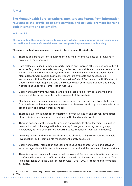# **The Mental Health Service gathers, monitors and learns from information relevant to the provision of safe services and actively promote learning both internally and externally.**

# **Indicator 2.1**

**The mental health service has a system in place which ensures monitoring and reporting on the quality and safety of care delivered and supports improvement and learning.** 

# **These are the features you need to have in place to meet this indicator:**

- **1.** There is an agreed system in place to collect, monitor and evaluate data relevant to provision of safe services.
- **2.** Data collected is used to measure performance and improve efficiency of mental health services (e.g. audits, analysis, trending, variances, complaints and balanced score card), National Incident Management System reports, including six- monthly anonymised Mental Health Commission Summary Report, are available and accessible in accordance with the Mental Health Commission Code of Practice on the Notification of Deaths and Incident Reporting and the Mental Health Commission Quality and Safety Notifications under the Mental Health Act, (2001)
- **3.** Quality and Safety Improvement plans are in place arising from data analysis and evidence of the improvements made as a result of the analysis.
- **4.** Minutes of team, management and executive team meetings demonstrate that reports from the information management system are discussed at all appropriate levels of the organisation and actively inform change.
- **5.** There is a system in place for monitoring of corrective action and preventative action plans (CAPA) or quality improvement plans (QIP) and quality profiles.
- **6.** There is evidence of the use of forums and approaches to share learning, (e.g. notice boards, journal clubs, suggestion box, survey focus group, sharing learning days, Newsletter, Service User Stories, ARI, HSE Land, Enhancing Team Work initiative).
- **7.** Learning notices and memos are circulated to share learning from systems analysis investigation, audit, complaints management, safety pause etc.
- **8.** Quality and safety Information and learning is used and shared, within and between services/agencies to inform continuous improvement and the provision of safe services.
- **9.** There is a system in place to ensure that the voice of Service users, families and carers is reflected in the analysis of information $11$  towards the improvement of services. This is in accordance with the Data Protection Acts (1988 – 2003); Freedom of Information Act (2014).

*<sup>11.</sup> Consent to release of sharing of information; Cognisance of Data Protection Acts 1988 – 2003; Freedom of Information Act 2014*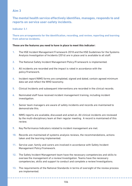# **The mental health service effectively identifies, manages, responds to and reports on service user-safety incidents.**

# **Indicator 3.1**

**There are arrangements for the identification, recording, and review, reporting and learning from adverse incidents.** 

# **These are the features you need to have in place to meet this indicator:**

- **1.** The HSE Incident Management Framework 2018 and the HSE Guidelines for the Systems Analysis Investigation of Incidents (2016) are in place and is available to all staff.
- **2.** The National Safety Incident Management Policy/Framework is implemented.
- **3.** All incidents are recorded and the impact is rated in accordance with the policy/framework.
- **4.** Incident report/NIMS forms are completed, signed and dated, contain agreed minimum data set and reflect the WHO taxonomy.
- **5.** Clinical Incidents and subsequent interventions are recorded in the clinical records.
- **6.** Nominated staff have received incident management training, including incident investigation.
- **7.** Senior team managers are aware of safety incidents and records are maintained to demonstrate this.
- **8.** NIMS reports are available, discussed and acted on. All clinical incidents are reviewed by the multi-disciplinary team at their regular meeting. A record is maintained of this review.
- **9.** Key Performance Indicators related to incident management are met.

. . . . . . . . . . . . . . . .

- **10.** Records are maintained of systems analysis reviews, the recommendations, actions taken and the learning implemented.
- **11.** Service user, family and carers are involved in accordance with Safety Incident Management Policy/framework.
- **12.** The Safety Incident Management team have the necessary competencies and skills to oversee the management of a review/investigation. Teams have the necessary competencies, skills and support to conduct and complete a review/investigations.
- **13.** The requirements of the National Standards in terms of oversight of the review process are implemented.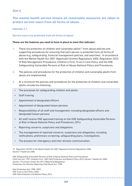# **The mental health service ensure all reasonable measures are taken to protect service users from all forms of abuse.**

**Indicator 4.1**

# **Service users are protected from all forms of abuse.**

## **These are the features you need to have in place to meet this indicator:**

- **1.** There are protection of children and vulnerable adults<sup>12</sup> from abuse policies and supporting procedures for ensuring that each person is protected from all forms of abuse (e.g, safeguarding, financial management policies, and searches). In accordance with the Mental Health Act 2001 (Approved Centres) Regulations 2006, Regulation 32(2) (f) Risk Management Procedures, Children's First, Trust in Care Policy and the HSE Safeguarding Vulnerable Persons at Risk of Abuse National Policy and Procedures.
- **2.** The policies and procedures for the protection of children and vulnerable adults from abuse are implemented.
- **3.** At a minimum the policies and procedures for the protection of children and vulnerable adults include the following:
	- The processes for safeguarding children and adults
	- Staff training
	- Appointment of designated officers
	- Appointment of designated liaison persons
	- Responsibilities of all staff and management, including designated officers and designated liaison persons
	- All staff receive HSE approved training on the HSE Safeguarding Vulnerable Persons at Risk of Abuse National Policy and Procedures, 2014
	- Reporting concerns, suspicions and allegations
	- The management of reported concerns, suspicions and allegations, including notifications, preliminary screening, safeguarding plans, investigations.
	- The process for interagency and inter-division communication.

*12. Regulation 32(2)(f) of the Mental Health Act 2001 (Approved Centres) Regulations 2006 Section 7 Health Act 2004*

*HSE Safeguarding Vulnerable Persons at Risk of Abuse National Policy and Procedures Child Care Act, 1991; Children First ; HSE Child Protection and Welfare Policy 2016; Section 7 Health Act 2004; Section 19 Criminal Justice Act 2011 (Reporting Obligations) Protections For Persons Reporting Child Abuse Act, 1998*

*Data Protection Acts 1988- 2003 HSE Trust in Care Policy, 2004 HSE Child Protection and Welfare Policy 2016*

**\*\*\*\*\*\*\*\*\*\*\*\*\*\*\*\*\*\*\*\*\*\***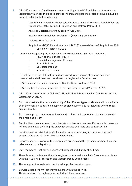- **4.** All staff are aware of and have an understanding of the HSE policies and the relevant legislation which are in place to protect children and persons at risk of abuse including but not restricted to the following:
- The HSE Safeguarding Vulnerable Persons at Risk of Abuse National Policy and Procedures, 2014HSE Child Protection and Welfare Policy 2016
- Assisted Decision Making (Capacity) Act, 2015.
- Section 19 Criminal Justice Act 2011 (Reporting Obligations)
- Children First Act 2015
- Regulation 32(2)(f) Mental Health Act 2001 (Approved Centres) Regulations 2006
	- Section 7 Health Act 2004
- HSE Policies guiding the Practices of the Mental Health Services, including:
	- HSE National Consent Policy
	- Financial Management Policies
	- Search Policies
	- Seclusion Policies
	- Intimate Care Policy
- 'Trust in Care': the HSE policy guiding procedures when an allegation has been made that a staff member has abused or neglected a Service User.
- HSE Policy on Domestic, Sexual and Gender Based Violence, 2011
- HSE Practice Guide on Domestic, Sexual and Gender Based Violence, 2012
- **5.** All staff receive training in Children's First, National Guidelines For The Protection And Welfare Of Children.
- **6.** Staff demonstrate their understanding of the different types of abuse and know what to do in the event an allegation, suspicion or disclosure of abuse including who to report any incident to.
- **7.** Staff are appropriately recruited, selected, trained and supervised in accordance with their role and policy.
- **8.** Service Users have access to an advocate or advocacy services. For example, there are notices on display detailing the advocacy service available and contact details.
- **9.** Service users receive training/information where necessary and are assisted and supported to protect themselves against abuse.
- **10.** Service users are aware of the complaints process and the persons to whom they can raise concerns / allegations.
- **11.** Staff members treat service users with respect and dignity at all times.
- **12.** There is an up to date confidential register maintained in each CHO area in accordance with the HSE Child Protection and Welfare Policy 2016 officer.
- **13.** The safeguarding system is monitored to protect service users.
- **14.** Service users confirm that they feel safe within the service. This is achieved through regular multidisciplinary reviews.

. . . . . . . . . . . . . . . . . .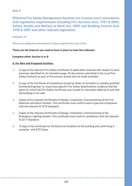**Effective Fire Safety Management Systems are in place and in accordance with legislative requirements including Fire Services Acts, 1981 & 2003; Safety, Health and Welfare at Work Act, 2005 and Building Control Acts 1990 & 2007 and other relevant legislation.**

**Indicator 5.1**

**There are adequate precautions in place against the risk of fire.** 

# **These are the features you need to have in place to meet this indicator:**

### **Complete either Section A or B**

### **A. For New and Proposed facilities:**

- **1.** A copy of the relevant Fire Safety Certificate (if applicable) received with respect to each premises identified for its intended usage. All documents submitted to the Local Fire Safety Authority as part of the process should also be made available.
- **2.** A copy of the Certificate of Compliance issued by either an Architect or suitably qualified Chartered Engineer i.e. must have specific Fire Safety Qualifications, evidence that the plans for which the Fire Safety Certificate was issued for have been adhered to and that the building is fire safe.
- **3.** Copies of the relevant Certificates of Design, Installation, Commissioning of the Fire Detection and Alarm System. This certificate must confirm alarm type and compliance with the relevant IS 3218 Standard.
- **4.** Copies of the relevant Certificates of Design, Installation, Commissioning of the Emergency Lighting System. This certificate must confirm compliance with the relevant IS 3217 Standard.
- **5.** A copy of the certificate for the Electrical Condition of the building and confirming it complies with ETCI Rules.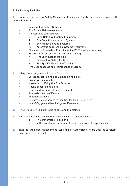# **B. For Existing Facilities:**

**1.** Copies of Current Fire Safety Management Policy and Safety Statement complete with relevant records

- Relevant Fire Safety Notices
- Fire Safety Risk Assessments
- Maintenance contracts for:
	- i. Hand Held Fire Fighting Equipment
	- ii. Fire Detection and Alarm Systems
	- iii. Emergency Lighting Systems
	- iv. Automatic suppression systems if relevant.
- Site specific Evacuation Plans including PEEP's where necessary.
- Records of all associated Fire Safety Training:
	- v. Fire Extinguisher Training
	- vi. General Fire Safety Lecture
	- vii. Site Specific Evacuation Training
- Fire Door schedule and Maintenance program.
- **2.** Adequate arrangements in place for:
	- Detecting, containing and Extinguishing a Fire
	- Giving warning of a fire
	- Means for notifying the Fire Services
	- Means of containing a fire
	- Limit the development and spread of fire
	- Adequate means of Escape
	- Adequate signage
	- The provision of access to facilities for the Fire Services
	- Use of Oxygen and Medical gases if relevant
- **3.** The Fire Safety Register is up to date and maintained
- **4.** All relevant people are aware of their individual responsibilities in
	- a. The prevention of Fires and
	- b. In the event of an outbreak of fire in their area of responsibility.
- **5.** That the Fire Safety Management Plan and Fire Safety Register are updated to reflect any changes to the facility.